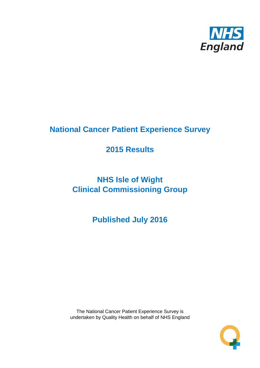

# **National Cancer Patient Experience Survey**

## **2015 Results**

# **NHS Isle of Wight Clinical Commissioning Group**

**Published July 2016**

The National Cancer Patient Experience Survey is undertaken by Quality Health on behalf of NHS England

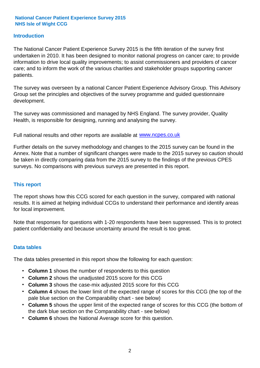#### **Introduction**

The National Cancer Patient Experience Survey 2015 is the fifth iteration of the survey first undertaken in 2010. It has been designed to monitor national progress on cancer care; to provide information to drive local quality improvements; to assist commissioners and providers of cancer care; and to inform the work of the various charities and stakeholder groups supporting cancer patients.

The survey was overseen by a national Cancer Patient Experience Advisory Group. This Advisory Group set the principles and objectives of the survey programme and guided questionnaire development.

The survey was commissioned and managed by NHS England. The survey provider, Quality Health, is responsible for designing, running and analysing the survey.

Full national results and other reports are available at www.ncpes.co.uk

Further details on the survey methodology and changes to the 2015 survey can be found in the Annex. Note that a number of significant changes were made to the 2015 survey so caution should be taken in directly comparing data from the 2015 survey to the findings of the previous CPES surveys. No comparisons with previous surveys are presented in this report.

#### **This report**

The report shows how this CCG scored for each question in the survey, compared with national results. It is aimed at helping individual CCGs to understand their performance and identify areas for local improvement.

Note that responses for questions with 1-20 respondents have been suppressed. This is to protect patient confidentiality and because uncertainty around the result is too great.

#### **Data tables**

The data tables presented in this report show the following for each question:

- **Column 1** shows the number of respondents to this question
- **Column 2** shows the unadjusted 2015 score for this CCG
- **Column 3** shows the case-mix adjusted 2015 score for this CCG
- **Column 4** shows the lower limit of the expected range of scores for this CCG (the top of the pale blue section on the Comparability chart - see below)
- **Column 5** shows the upper limit of the expected range of scores for this CCG (the bottom of the dark blue section on the Comparability chart - see below)
- **Column 6** shows the National Average score for this question.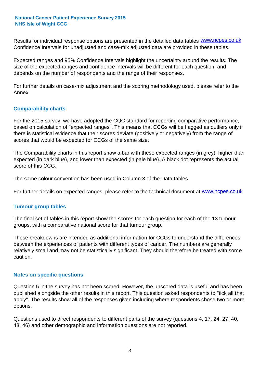Results for individual response options are presented in the detailed data tables **WWW.ncpes.co.uk** Confidence Intervals for unadjusted and case-mix adjusted data are provided in these tables.

Expected ranges and 95% Confidence Intervals highlight the uncertainty around the results. The size of the expected ranges and confidence intervals will be different for each question, and depends on the number of respondents and the range of their responses.

For further details on case-mix adjustment and the scoring methodology used, please refer to the Annex.

#### **Comparability charts**

For the 2015 survey, we have adopted the CQC standard for reporting comparative performance, based on calculation of "expected ranges". This means that CCGs will be flagged as outliers only if there is statistical evidence that their scores deviate (positively or negatively) from the range of scores that would be expected for CCGs of the same size.

The Comparability charts in this report show a bar with these expected ranges (in grey), higher than expected (in dark blue), and lower than expected (in pale blue). A black dot represents the actual score of this CCG.

The same colour convention has been used in Column 3 of the Data tables.

For further details on expected ranges, please refer to the technical document at **www.ncpes.co.uk** 

#### **Tumour group tables**

The final set of tables in this report show the scores for each question for each of the 13 tumour groups, with a comparative national score for that tumour group.

These breakdowns are intended as additional information for CCGs to understand the differences between the experiences of patients with different types of cancer. The numbers are generally relatively small and may not be statistically significant. They should therefore be treated with some caution.

#### **Notes on specific questions**

Question 5 in the survey has not been scored. However, the unscored data is useful and has been published alongside the other results in this report. This question asked respondents to "tick all that apply". The results show all of the responses given including where respondents chose two or more options.

Questions used to direct respondents to different parts of the survey (questions 4, 17, 24, 27, 40, 43, 46) and other demographic and information questions are not reported.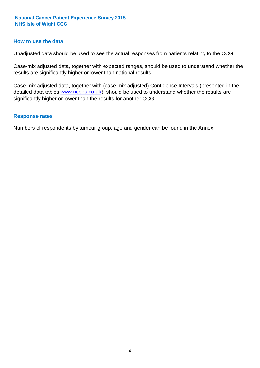#### **How to use the data**

Unadjusted data should be used to see the actual responses from patients relating to the CCG.

Case-mix adjusted data, together with expected ranges, should be used to understand whether the results are significantly higher or lower than national results.

Case-mix adjusted data, together with (case-mix adjusted) Confidence Intervals (presented in the detailed data tables **www.ncpes.co.uk**), should be used to understand whether the results are significantly higher or lower than the results for another CCG.

#### **Response rates**

Numbers of respondents by tumour group, age and gender can be found in the Annex.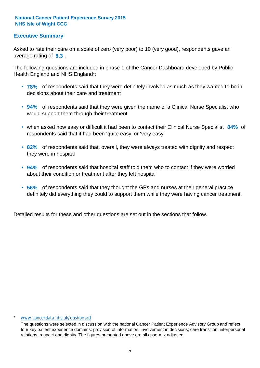#### **Executive Summary**

average rating of 8.3. Asked to rate their care on a scale of zero (very poor) to 10 (very good), respondents gave an

The following questions are included in phase 1 of the Cancer Dashboard developed by Public Health England and NHS England\*:

- **78%** of respondents said that they were definitely involved as much as they wanted to be in decisions about their care and treatment
- **94%** of respondents said that they were given the name of a Clinical Nurse Specialist who would support them through their treatment
- when asked how easy or difficult it had been to contact their Clinical Nurse Specialist 84% of respondents said that it had been 'quite easy' or 'very easy'
- **82%** of respondents said that, overall, they were always treated with dignity and respect they were in hospital
- **94%** of respondents said that hospital staff told them who to contact if they were worried about their condition or treatment after they left hospital
- **56%** of respondents said that they thought the GPs and nurses at their general practice definitely did everything they could to support them while they were having cancer treatment.

Detailed results for these and other questions are set out in the sections that follow.

#### www.cancerdata.nhs.uk/dashboard

The questions were selected in discussion with the national Cancer Patient Experience Advisory Group and reflect four key patient experience domains: provision of information; involvement in decisions; care transition; interpersonal relations, respect and dignity. The figures presented above are all case-mix adjusted.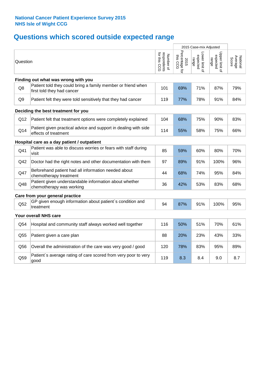## **Questions which scored outside expected range**

|                |                                                                                            |                                          |                                    | 2015 Case-mix Adjusted              |                                     |                              |
|----------------|--------------------------------------------------------------------------------------------|------------------------------------------|------------------------------------|-------------------------------------|-------------------------------------|------------------------------|
| Question       |                                                                                            | respondents<br>for this CCG<br>Number of | Percentage for<br>this CCG<br>2015 | Lower limit of<br>expected<br>range | Upper limit of<br>expected<br>range | Average<br>Score<br>National |
|                | Finding out what was wrong with you                                                        |                                          |                                    |                                     |                                     |                              |
| Q8             | Patient told they could bring a family member or friend when<br>first told they had cancer | 101                                      | 69%                                | 71%                                 | 87%                                 | 79%                          |
| Q <sub>9</sub> | Patient felt they were told sensitively that they had cancer                               | 119                                      | 77%                                | 78%                                 | 91%                                 | 84%                          |
|                | Deciding the best treatment for you                                                        |                                          |                                    |                                     |                                     |                              |
| Q12            | Patient felt that treatment options were completely explained                              | 104                                      | 68%                                | 75%                                 | 90%                                 | 83%                          |
| Q14            | Patient given practical advice and support in dealing with side<br>effects of treatment    | 114                                      | 55%                                | 58%                                 | 75%                                 | 66%                          |
|                | Hospital care as a day patient / outpatient                                                |                                          |                                    |                                     |                                     |                              |
| Q41            | Patient was able to discuss worries or fears with staff during<br>visit                    | 85                                       | 59%                                | 60%                                 | 80%                                 | 70%                          |
| Q42            | Doctor had the right notes and other documentation with them                               | 97                                       | 89%                                | 91%                                 | 100%                                | 96%                          |
| Q47            | Beforehand patient had all information needed about<br>chemotherapy treatment              | 44                                       | 68%                                | 74%                                 | 95%                                 | 84%                          |
| Q48            | Patient given understandable information about whether<br>chemotherapy was working         | 36                                       | 42%                                | 53%                                 | 83%                                 | 68%                          |
|                | Care from your general practice                                                            |                                          |                                    |                                     |                                     |                              |
| Q52            | GP given enough information about patient's condition and<br>treatment                     | 94                                       | 87%                                | 91%                                 | 100%                                | 95%                          |
|                | Your overall NHS care                                                                      |                                          |                                    |                                     |                                     |                              |
| Q54            | Hospital and community staff always worked well together                                   | 116                                      | 50%                                | 51%                                 | 70%                                 | 61%                          |
| Q55            | Patient given a care plan                                                                  | 88                                       | 20%                                | 23%                                 | 43%                                 | 33%                          |
| Q56            | Overall the administration of the care was very good / good                                | 120                                      | 78%                                | 83%                                 | 95%                                 | 89%                          |
| Q59            | Patient's average rating of care scored from very poor to very<br>good                     | 119                                      | 8.3                                | 8.4                                 | 9.0                                 | 8.7                          |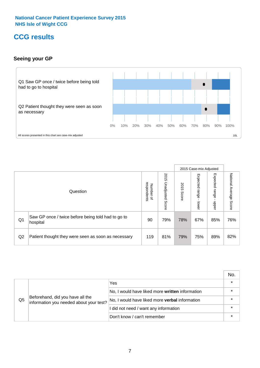### **CCG results**

#### **Seeing your GP**



|    |                                                                |                                              |                             |               | 2015 Case-mix Adjusted     |                            |                           |
|----|----------------------------------------------------------------|----------------------------------------------|-----------------------------|---------------|----------------------------|----------------------------|---------------------------|
|    | Question                                                       | respondents<br>Number<br>$\overline{\sigma}$ | 2015<br>Unadjusted<br>Score | 2015<br>Score | Expected<br>range<br>lower | Expected<br>range<br>nbber | National Average<br>Score |
| Q1 | Saw GP once / twice before being told had to go to<br>hospital | 90                                           | 79%                         | 78%           | 67%                        | 85%                        | 76%                       |
| Q2 | Patient thought they were seen as soon as necessary            | 119                                          | 81%                         | 79%           | 75%                        | 89%                        | 82%                       |

|    |                                                                             |                                                 | No. |
|----|-----------------------------------------------------------------------------|-------------------------------------------------|-----|
| Q5 | Beforehand, did you have all the<br>information you needed about your test? | Yes                                             |     |
|    |                                                                             | No, I would have liked more written information |     |
|    |                                                                             | No, I would have liked more verbal information  |     |
|    |                                                                             | I did not need / want any information           |     |
|    |                                                                             | Don't know / can't remember                     |     |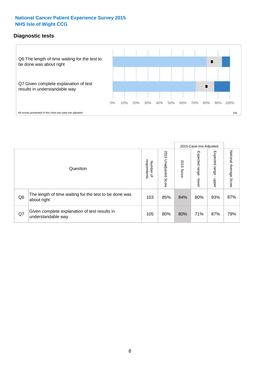#### **Diagnostic tests**



|                |                                                                       |                                   |                             |               | 2015 Case-mix Adjusted  |                         |                           |
|----------------|-----------------------------------------------------------------------|-----------------------------------|-----------------------------|---------------|-------------------------|-------------------------|---------------------------|
|                | Question                                                              | respondents<br>Number<br>$\Omega$ | 2015<br>Unadjusted<br>Score | 2015<br>Score | Expected range<br>lower | Expected range<br>nbber | National Average<br>Score |
| Q <sub>6</sub> | The length of time waiting for the test to be done was<br>about right | 103                               | 85%                         | 84%           | 80%                     | 93%                     | 87%                       |
| Q7             | Given complete explanation of test results in<br>understandable way   | 105                               | 80%                         | 80%           | 71%                     | 87%                     | 79%                       |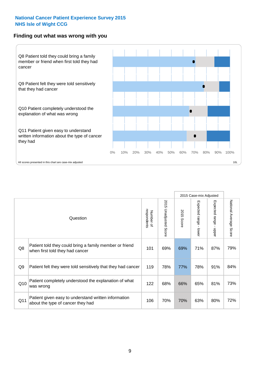#### **Finding out what was wrong with you**



|                |                                                                                            |                          |                                 |               | 2015 Case-mix Adjusted                    |                                           |                        |
|----------------|--------------------------------------------------------------------------------------------|--------------------------|---------------------------------|---------------|-------------------------------------------|-------------------------------------------|------------------------|
|                | Question                                                                                   | respondents<br>Number of | 2015<br><b>Unadjusted Score</b> | 2015<br>Score | Expected range<br>$\blacksquare$<br>lower | Expected range<br>$\blacksquare$<br>nbber | National Average Score |
| Q8             | Patient told they could bring a family member or friend<br>when first told they had cancer | 101                      | 69%                             | 69%           | 71%                                       | 87%                                       | 79%                    |
| Q <sub>9</sub> | Patient felt they were told sensitively that they had cancer                               | 119                      | 78%                             | 77%           | 78%                                       | 91%                                       | 84%                    |
| Q10            | Patient completely understood the explanation of what<br>was wrong                         | 122                      | 68%                             | 66%           | 65%                                       | 81%                                       | 73%                    |
| Q11            | Patient given easy to understand written information<br>about the type of cancer they had  | 106                      | 70%                             | 70%           | 63%                                       | 80%                                       | 72%                    |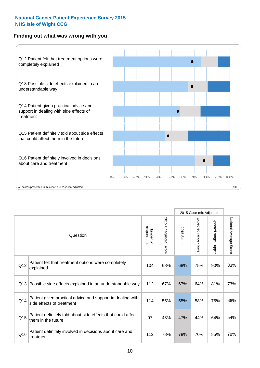#### **Finding out what was wrong with you**



|     |                                                                                         |                          |                          |               | 2015 Case-mix Adjusted                  |                        |                        |
|-----|-----------------------------------------------------------------------------------------|--------------------------|--------------------------|---------------|-----------------------------------------|------------------------|------------------------|
|     | Question                                                                                | Number of<br>respondents | 2015<br>Unadjusted Score | 2015<br>Score | Expected range<br>$\mathbf{r}$<br>lower | Expected range - upper | National Average Score |
| Q12 | Patient felt that treatment options were completely<br>explained                        | 104                      | 68%                      | 68%           | 75%                                     | 90%                    | 83%                    |
| Q13 | Possible side effects explained in an understandable way                                | 112                      | 67%                      | 67%           | 64%                                     | 81%                    | 73%                    |
| Q14 | Patient given practical advice and support in dealing with<br>side effects of treatment | 114                      | 55%                      | 55%           | 58%                                     | 75%                    | 66%                    |
| Q15 | Patient definitely told about side effects that could affect<br>them in the future      | 97                       | 48%                      | 47%           | 44%                                     | 64%                    | 54%                    |
| Q16 | Patient definitely involved in decisions about care and<br>treatment                    | 112                      | 78%                      | 78%           | 70%                                     | 85%                    | 78%                    |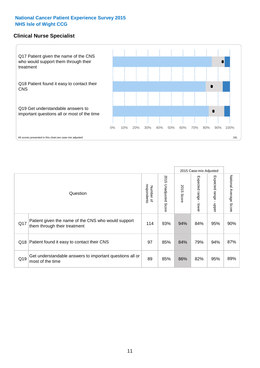#### **Clinical Nurse Specialist**



|     |                                                                                     |                          |                       |               | 2015 Case-mix Adjusted  |                         |                                  |
|-----|-------------------------------------------------------------------------------------|--------------------------|-----------------------|---------------|-------------------------|-------------------------|----------------------------------|
|     | Question                                                                            | respondents<br>Number of | 2015 Unadjusted Score | 2015<br>Score | Expected range<br>lower | Expected range<br>nbber | National Average<br><b>Score</b> |
| Q17 | Patient given the name of the CNS who would support<br>them through their treatment | 114                      | 93%                   | 94%           | 84%                     | 95%                     | 90%                              |
| Q18 | Patient found it easy to contact their CNS                                          | 97                       | 85%                   | 84%           | 79%                     | 94%                     | 87%                              |
| Q19 | Get understandable answers to important questions all or<br>most of the time        | 89                       | 85%                   | 86%           | 82%                     | 95%                     | 89%                              |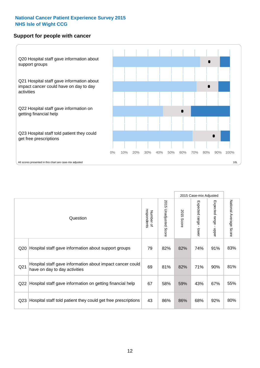#### **Support for people with cancer**



|                 |                                                                                            |                          |                             |               | 2015 Case-mix Adjusted  |                                           |                        |
|-----------------|--------------------------------------------------------------------------------------------|--------------------------|-----------------------------|---------------|-------------------------|-------------------------------------------|------------------------|
|                 | Question                                                                                   | respondents<br>Number of | 2015<br>Unadjusted<br>Score | 2015<br>Score | Expected range<br>lower | Expected range<br>$\blacksquare$<br>nbber | National Average Score |
| Q20             | Hospital staff gave information about support groups                                       | 79                       | 82%                         | 82%           | 74%                     | 91%                                       | 83%                    |
| Q <sub>21</sub> | Hospital staff gave information about impact cancer could<br>have on day to day activities | 69                       | 81%                         | 82%           | 71%                     | 90%                                       | 81%                    |
| Q22             | Hospital staff gave information on getting financial help                                  | 67                       | 58%                         | 59%           | 43%                     | 67%                                       | 55%                    |
| Q <sub>23</sub> | Hospital staff told patient they could get free prescriptions                              | 43                       | 86%                         | 86%           | 68%                     | 92%                                       | 80%                    |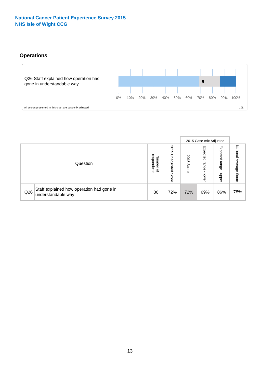#### **Operations**



|     |                                                                 |                                              |                             | 2015 Case-mix Adjusted |                            |                            |                              |
|-----|-----------------------------------------------------------------|----------------------------------------------|-----------------------------|------------------------|----------------------------|----------------------------|------------------------------|
|     | Question                                                        | respondents<br>Number<br>$\overline{\sigma}$ | 2015<br>Unadjusted<br>Score | 2015<br>Score          | Expected<br>range<br>lower | Expected<br>range<br>doper | National<br>Average<br>Score |
| Q26 | Staff explained how operation had gone in<br>understandable way | 86                                           | 72%                         | 72%                    | 69%                        | 86%                        | 78%                          |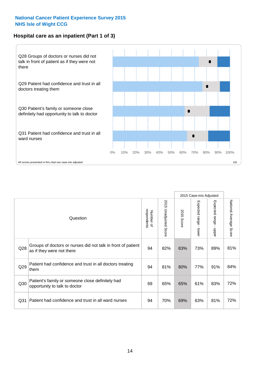#### **Hospital care as an inpatient (Part 1 of 3)**



All scores presented in this chart are case-mix adjusted  $10L$ 

|                 |                                                                                           |                          |                          |                      | 2015 Case-mix Adjusted                    |                                       |                        |
|-----------------|-------------------------------------------------------------------------------------------|--------------------------|--------------------------|----------------------|-------------------------------------------|---------------------------------------|------------------------|
|                 | Question                                                                                  | respondents<br>Number of | 2015<br>Unadjusted Score | 2015<br><b>Score</b> | Expected range<br>$\blacksquare$<br>lower | Expected range<br>$\mathbf{I}$<br>ddo | National Average Score |
| Q28             | Groups of doctors or nurses did not talk in front of patient<br>as if they were not there | 94                       | 82%                      | 83%                  | 73%                                       | 89%                                   | 81%                    |
| Q29             | Patient had confidence and trust in all doctors treating<br>them                          | 94                       | 81%                      | 80%                  | 77%                                       | 91%                                   | 84%                    |
| Q30             | Patient's family or someone close definitely had<br>opportunity to talk to doctor         | 69                       | 65%                      | 65%                  | 61%                                       | 83%                                   | 72%                    |
| Q <sub>31</sub> | Patient had confidence and trust in all ward nurses                                       | 94                       | 70%                      | 69%                  | 63%                                       | 81%                                   | 72%                    |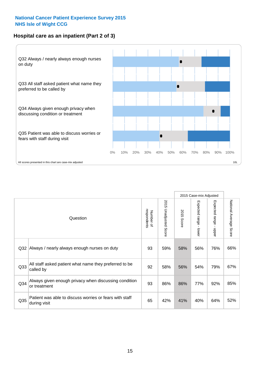#### **Hospital care as an inpatient (Part 2 of 3)**



2015 Case-mix Adjusted National Average Score 2015 Unadjusted Score Expected range - lower Expected range - upper 2015 Unadjusted Score Expected range - upper Expected range - lower Number of<br>respondents respondents 2015 Score 2015 Score Number of Question Q32 |Always / nearly always enough nurses on duty  $\begin{array}{|l|} \hline \end{array}$  93 | 59% | 58% | 56% | 76% | 66% Q33 92 58% 56% 54% 79% All staff asked patient what name they preferred to be called by 67% Q34 93 86% 86% 77% 92% Always given enough privacy when discussing condition or treatment 85% Patient was able to discuss worries or fears with staff during visit during visit  $\frac{32\%}{1000}$  of  $\frac{32\%}{1000}$   $\frac{32\%}{1000}$   $\frac{42\%}{1000}$   $\frac{41\%}{1000}$   $\frac{40\%}{1000}$   $\frac{64\%}{1000}$   $\frac{52\%}{1000}$ Q35 decision with the discussion of the control of the control of the control of the control of the control of the control of the control of the control of the control of the control of the control of the control of the co

National Average Score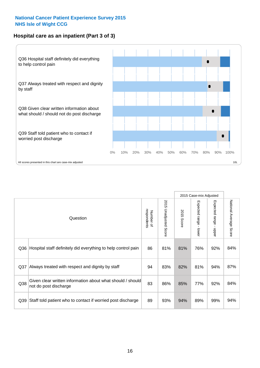#### **Hospital care as an inpatient (Part 3 of 3)**



|                 |                                                                                     |                          |                       |               | 2015 Case-mix Adjusted                    |                           |                        |
|-----------------|-------------------------------------------------------------------------------------|--------------------------|-----------------------|---------------|-------------------------------------------|---------------------------|------------------------|
|                 | Question                                                                            | respondents<br>Number of | 2015 Unadjusted Score | 2015<br>Score | Expected range<br>$\blacksquare$<br>lower | Expected range -<br>nbber | National Average Score |
| Q36             | Hospital staff definitely did everything to help control pain                       | 86                       | 81%                   | 81%           | 76%                                       | 92%                       | 84%                    |
| Q <sub>37</sub> | Always treated with respect and dignity by staff                                    | 94                       | 83%                   | 82%           | 81%                                       | 94%                       | 87%                    |
| Q38             | Given clear written information about what should / should<br>not do post discharge | 83                       | 86%                   | 85%           | 77%                                       | 92%                       | 84%                    |
| Q39             | Staff told patient who to contact if worried post discharge                         | 89                       | 93%                   | 94%           | 89%                                       | 99%                       | 94%                    |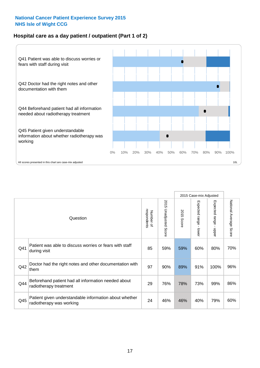#### **Hospital care as a day patient / outpatient (Part 1 of 2)**



|     |                                                                                    |                          |                                 |                      | 2015 Case-mix Adjusted                  |                                         |                        |
|-----|------------------------------------------------------------------------------------|--------------------------|---------------------------------|----------------------|-----------------------------------------|-----------------------------------------|------------------------|
|     | Question                                                                           | respondents<br>Number of | 2015<br><b>Unadjusted Score</b> | 2015<br><b>Score</b> | Expected range<br>$\mathbf{r}$<br>lower | Expected range<br>$\mathbf{I}$<br>nbber | National Average Score |
| Q41 | Patient was able to discuss worries or fears with staff<br>during visit            | 85                       | 59%                             | 59%                  | 60%                                     | 80%                                     | 70%                    |
| Q42 | Doctor had the right notes and other documentation with<br>them                    | 97                       | 90%                             | 89%                  | 91%                                     | 100%                                    | 96%                    |
| Q44 | Beforehand patient had all information needed about<br>radiotherapy treatment      | 29                       | 76%                             | 78%                  | 73%                                     | 99%                                     | 86%                    |
| Q45 | Patient given understandable information about whether<br>radiotherapy was working | 24                       | 46%                             | 46%                  | 40%                                     | 79%                                     | 60%                    |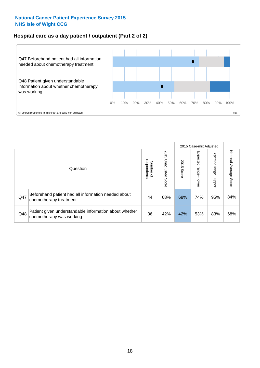#### **Hospital care as a day patient / outpatient (Part 2 of 2)**



|     |                                                                                    |                                       |                             | 2015 Case-mix Adjusted<br>Expected range<br>Expected range<br>2015<br>Score<br>doper<br>lower<br>74%<br>68%<br>95% |     |     |                           |
|-----|------------------------------------------------------------------------------------|---------------------------------------|-----------------------------|--------------------------------------------------------------------------------------------------------------------|-----|-----|---------------------------|
|     | Question                                                                           | respondents<br>Number<br>$\mathbf{Q}$ | 2015<br>Unadjusted<br>Score |                                                                                                                    |     |     | National Average<br>Score |
| Q47 | Beforehand patient had all information needed about<br>chemotherapy treatment      | 44                                    | 68%                         |                                                                                                                    |     |     | 84%                       |
| Q48 | Patient given understandable information about whether<br>chemotherapy was working | 36                                    | 42%                         | 42%                                                                                                                | 53% | 83% | 68%                       |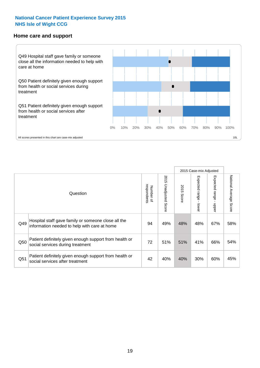#### **Home care and support**



2015 Case-mix Adjusted 2015 Unadjusted Score Expected range - upper National Average Score 2015 Unadjusted Score Expected range - lower National Average Score Expected range - lower Expected range - upper Number of<br>respondents 2015 Score respondents 2015 Score Number of Question Hospital staff gave family or someone close all the  $Q49$  information needed to help with care at home  $Q49$  49% 48% 48% 67% 58% Patient definitely given enough support from health or  $\frac{1}{200}$  social services during treatment  $\frac{1}{200}$   $\frac{1}{200}$   $\frac{51\%}{51\%}$   $\frac{51\%}{51\%}$   $\frac{41\%}{66\%}$   $\frac{54\%}{54\%}$ Patient definitely given enough support from health or  $\frac{30\%}{\%}$  social services after treatment  $\frac{42}{\%}$  40% 40% 30% 60% 45%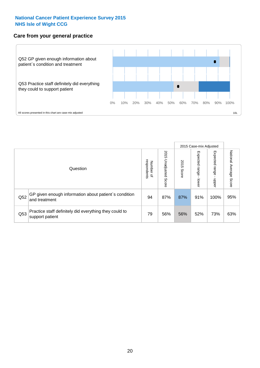#### **Care from your general practice**



|     |                                                                           |                                              |                             |               | 2015 Case-mix Adjusted       |                              |                           |
|-----|---------------------------------------------------------------------------|----------------------------------------------|-----------------------------|---------------|------------------------------|------------------------------|---------------------------|
|     | Question                                                                  | respondents<br>Number<br>$\overline{\sigma}$ | 2015<br>Unadjusted<br>Score | 2015<br>Score | Expected<br>I range<br>lower | Expected<br>  range<br>doper | National Average<br>Score |
| Q52 | GP given enough information about patient's condition<br>and treatment    | 94                                           | 87%                         | 87%           | 91%                          | 100%                         | 95%                       |
| Q53 | Practice staff definitely did everything they could to<br>support patient | 79                                           | 56%                         | 56%           | 52%                          | 73%                          | 63%                       |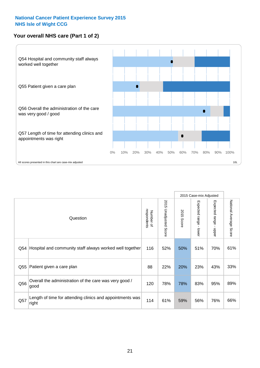#### **Your overall NHS care (Part 1 of 2)**



|     |                                                                    |                          |                          |                      | 2015 Case-mix Adjusted  |                                           |                        |
|-----|--------------------------------------------------------------------|--------------------------|--------------------------|----------------------|-------------------------|-------------------------------------------|------------------------|
|     | Question                                                           | respondents<br>Number of | 2015<br>Unadjusted Score | 2015<br><b>Score</b> | Expected range<br>lower | Expected range<br>$\blacksquare$<br>nbber | National Average Score |
| Q54 | Hospital and community staff always worked well together           | 116                      | 52%                      | 50%                  | 51%                     | 70%                                       | 61%                    |
| Q55 | Patient given a care plan                                          | 88                       | 22%                      | 20%                  | 23%                     | 43%                                       | 33%                    |
| Q56 | Overall the administration of the care was very good /<br>good     | 120                      | 78%                      | 78%                  | 83%                     | 95%                                       | 89%                    |
| Q57 | Length of time for attending clinics and appointments was<br>right | 114                      | 61%                      | 59%                  | 56%                     | 76%                                       | 66%                    |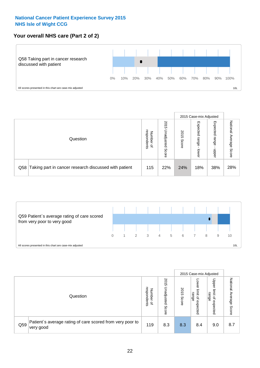#### **Your overall NHS care (Part 2 of 2)**



|     |                                                       |                                   |                             |               | 2015 Case-mix Adjusted     |                            |                        |
|-----|-------------------------------------------------------|-----------------------------------|-----------------------------|---------------|----------------------------|----------------------------|------------------------|
|     | Question                                              | respondents<br>Number<br>$\Omega$ | 2015<br>Unadjusted<br>Score | 2015<br>Score | Expected<br>range<br>lower | Expected<br>range<br>nbber | National Average Score |
| Q58 | Taking part in cancer research discussed with patient | 115                               | 22%                         | 24%           | 18%                        | 38%                        | 28%                    |



|     |                                                                        |                                              |                             | 2015 Case-mix Adjusted<br>Upper<br>OWer<br>2015<br>limit<br>limit<br>range<br>range<br>$\overline{a}$<br>Score<br>$\mathbf{a}$<br>expected<br>expected |     |     |                                     |
|-----|------------------------------------------------------------------------|----------------------------------------------|-----------------------------|--------------------------------------------------------------------------------------------------------------------------------------------------------|-----|-----|-------------------------------------|
|     | Question                                                               | respondents<br>Number<br>$\overline{\sigma}$ | 2015<br>Unadjusted<br>Score |                                                                                                                                                        |     |     | National<br>Average<br><b>Score</b> |
| Q59 | Patient's average rating of care scored from very poor to<br>very good | 119                                          | 8.3                         | 8.3                                                                                                                                                    | 8.4 | 9.0 | 8.7                                 |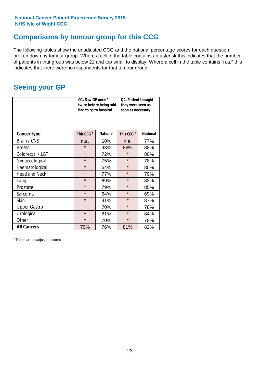### **Comparisons by tumour group for this CCG**

The following tables show the unadjusted CCG and the national percentage scores for each question broken down by tumour group. Where a cell in the table contains an asterisk this indicates that the number of patients in that group was below 21 and too small to display. Where a cell in the table contains "n.a." this indicates that there were no respondents for that tumour group.

### **Seeing your GP**

|                      |                        | Q1. Saw GP once /<br>Q2. Patient thought<br>twice before being told<br>they were seen as<br>had to go to hospital<br>soon as necessary |                        |                 |
|----------------------|------------------------|----------------------------------------------------------------------------------------------------------------------------------------|------------------------|-----------------|
| <b>Cancer type</b>   | This CCG <sup>\$</sup> | <b>National</b>                                                                                                                        | This CCG <sup>\$</sup> | <b>National</b> |
| Brain / CNS          | n.a.                   | 60%                                                                                                                                    | n.a.                   | 77%             |
| <b>Breast</b>        | $\star$                | 93%                                                                                                                                    | 86%                    | 88%             |
| Colorectal / LGT     | $\star$                | 72%                                                                                                                                    | $\star$                | 80%             |
| Gynaecological       | $\star$                | 75%                                                                                                                                    | $\star$                | 78%             |
| Haematological       | $\star$                | 64%                                                                                                                                    | $\star$                | 80%             |
| <b>Head and Neck</b> | $\star$                | 77%                                                                                                                                    | $\star$                | 79%             |
| Lung                 | $\star$                | 69%                                                                                                                                    | $\star$                | 83%             |
| Prostate             | $\star$                | 79%                                                                                                                                    | $\star$                | 85%             |
| Sarcoma              | $\star$                | 64%                                                                                                                                    | $\star$                | 69%             |
| Skin                 | $\star$                | 91%                                                                                                                                    | $\star$                | 87%             |
| <b>Upper Gastro</b>  | $\star$                | 70%                                                                                                                                    | $\star$                | 78%             |
| Urological           | $\star$                | 81%                                                                                                                                    | $\star$                | 84%             |
| Other                | $\star$                | 70%                                                                                                                                    | $\star$                | 78%             |
| <b>All Cancers</b>   | 79%                    | 76%                                                                                                                                    | 81%                    | 82%             |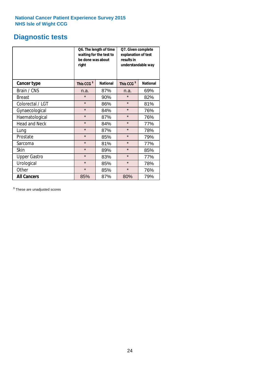### **Diagnostic tests**

|                      | Q6. The length of time<br>waiting for the test to<br>be done was about<br>right | Q7. Given complete<br>explanation of test<br>understandable way |                        |                 |
|----------------------|---------------------------------------------------------------------------------|-----------------------------------------------------------------|------------------------|-----------------|
| <b>Cancer type</b>   | This CCG <sup>\$</sup>                                                          | <b>National</b>                                                 | This CCG <sup>\$</sup> | <b>National</b> |
| Brain / CNS          | n.a.                                                                            | 87%                                                             | n.a.                   | 69%             |
| <b>Breast</b>        | $\star$                                                                         | 90%                                                             | $\star$                | 82%             |
| Colorectal / LGT     | $\star$                                                                         | 86%                                                             | $\star$                | 81%             |
| Gynaecological       | $\star$                                                                         | 84%                                                             | $\star$                | 76%             |
| Haematological       | $\star$                                                                         | 87%                                                             | $\star$                | 76%             |
| <b>Head and Neck</b> | $\star$                                                                         | 84%                                                             | $\star$                | 77%             |
| Lung                 | $\star$                                                                         | 87%                                                             | $\star$                | 78%             |
| Prostate             | $\star$                                                                         | 85%                                                             | $\star$                | 79%             |
| Sarcoma              | $\star$                                                                         | 81%                                                             | $\star$                | 77%             |
| Skin                 | $\star$                                                                         | 89%                                                             | $\star$                | 85%             |
| <b>Upper Gastro</b>  | $\star$                                                                         | 83%                                                             | $\star$                | 77%             |
| Urological           | $\star$                                                                         | 85%                                                             | $\star$                | 78%             |
| Other                | $\star$                                                                         | 85%                                                             | $\star$                | 76%             |
| <b>All Cancers</b>   | 85%                                                                             | 87%                                                             | 80%                    | 79%             |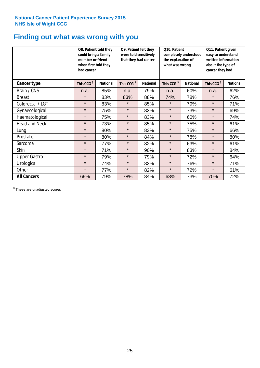### **Finding out what was wrong with you**

|                      | Q8. Patient told they<br>could bring a family<br>member or friend<br>when first told they<br>had cancer |                 | Q9. Patient felt they<br>were told sensitively<br>that they had cancer |                 | Q10. Patient<br>completely understood<br>the explanation of<br>what was wrong |                 | Q11. Patient given<br>easy to understand<br>written information<br>about the type of<br>cancer they had |                 |
|----------------------|---------------------------------------------------------------------------------------------------------|-----------------|------------------------------------------------------------------------|-----------------|-------------------------------------------------------------------------------|-----------------|---------------------------------------------------------------------------------------------------------|-----------------|
| Cancer type          | This CCG <sup>\$</sup>                                                                                  | <b>National</b> | This CCG <sup>\$</sup>                                                 | <b>National</b> | This CCG <sup>\$</sup>                                                        | <b>National</b> | This CCG <sup>\$</sup>                                                                                  | <b>National</b> |
| Brain / CNS          | n.a.                                                                                                    | 85%             | n.a.                                                                   | 79%             | n.a.                                                                          | 60%             | n.a.                                                                                                    | 62%             |
| <b>Breast</b>        | $\star$                                                                                                 | 83%             | 83%                                                                    | 88%             | 74%                                                                           | 78%             | $\star$                                                                                                 | 76%             |
| Colorectal / LGT     | $\star$                                                                                                 | 83%             | $\star$                                                                | 85%             | $\star$                                                                       | 79%             | $\star$                                                                                                 | 71%             |
| Gynaecological       | $\star$                                                                                                 | 75%             | $\star$                                                                | 83%             | $\star$                                                                       | 73%             | $\star$                                                                                                 | 69%             |
| Haematological       | $\star$                                                                                                 | 75%             | $\star$                                                                | 83%             | $\star$                                                                       | 60%             | $\star$                                                                                                 | 74%             |
| <b>Head and Neck</b> | $\star$                                                                                                 | 73%             | $\star$                                                                | 85%             | $\star$                                                                       | 75%             | $\star$                                                                                                 | 61%             |
| Lung                 | $\star$                                                                                                 | 80%             | $\star$                                                                | 83%             | $\star$                                                                       | 75%             | $\star$                                                                                                 | 66%             |
| Prostate             | $\star$                                                                                                 | 80%             | $\star$                                                                | 84%             | $\star$                                                                       | 78%             | $\star$                                                                                                 | 80%             |
| Sarcoma              | $\star$                                                                                                 | 77%             | $\star$                                                                | 82%             | $\star$                                                                       | 63%             | $\star$                                                                                                 | 61%             |
| Skin                 | $\star$                                                                                                 | 71%             | $\star$                                                                | 90%             | $\star$                                                                       | 83%             | $\star$                                                                                                 | 84%             |
| <b>Upper Gastro</b>  | $\star$                                                                                                 | 79%             | $\star$                                                                | 79%             | $\star$                                                                       | 72%             | $\star$                                                                                                 | 64%             |
| Urological           | $\star$                                                                                                 | 74%             | $\star$                                                                | 82%             | $\star$                                                                       | 76%             | $\star$                                                                                                 | 71%             |
| Other                | $\star$                                                                                                 | 77%             | $\star$                                                                | 82%             | $\star$                                                                       | 72%             | $\star$                                                                                                 | 61%             |
| <b>All Cancers</b>   | 69%                                                                                                     | 79%             | 78%                                                                    | 84%             | 68%                                                                           | 73%             | 70%                                                                                                     | 72%             |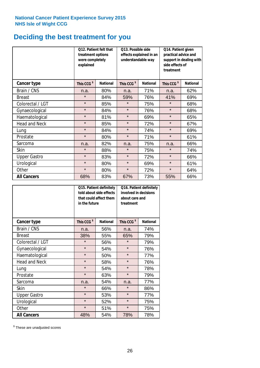## **Deciding the best treatment for you**

|                      | treatment options<br>were completely<br>explained | 012. Patient felt that | O13. Possible side<br>understandable way | effects explained in an | Q14. Patient given<br>practical advice and<br>support in dealing with<br>side effects of<br>treatment |                 |  |
|----------------------|---------------------------------------------------|------------------------|------------------------------------------|-------------------------|-------------------------------------------------------------------------------------------------------|-----------------|--|
| <b>Cancer type</b>   | This CCG <sup>\$</sup>                            | <b>National</b>        | This CCG <sup>\$</sup>                   | <b>National</b>         | This CCG <sup>\$</sup>                                                                                | <b>National</b> |  |
| Brain / CNS          | n.a.                                              | 80%                    | n.a.                                     | 71%                     | n.a.                                                                                                  | 62%             |  |
| <b>Breast</b>        | $\star$                                           | 84%                    | 59%                                      | 76%                     | 41%                                                                                                   | 69%             |  |
| Colorectal / LGT     | $\star$                                           | 85%                    | $\star$                                  | 75%                     | $\star$                                                                                               | 68%             |  |
| Gynaecological       | $\star$                                           | 84%                    | $\star$                                  | 76%                     | $\star$                                                                                               | 68%             |  |
| Haematological       | $\star$                                           | 81%                    | $\star$                                  | 69%                     | $\star$                                                                                               | 65%             |  |
| <b>Head and Neck</b> | $\star$                                           | 85%                    | $\star$                                  | 72%                     | $\star$                                                                                               | 67%             |  |
| Lung                 | $\star$                                           | 84%                    | $\star$                                  | 74%                     | $\star$                                                                                               | 69%             |  |
| Prostate             | $\star$                                           | 80%                    | $\star$                                  | 71%                     | $\star$                                                                                               | 61%             |  |
| Sarcoma              | n.a.                                              | 82%                    | n.a.                                     | 75%                     | n.a.                                                                                                  | 66%             |  |
| Skin                 | $\star$                                           | 88%                    | $\star$                                  | 75%                     | $\star$                                                                                               | 74%             |  |
| <b>Upper Gastro</b>  | $\star$                                           | 83%                    | $\star$                                  | 72%                     | $\star$                                                                                               | 66%             |  |
| Urological           | $\star$                                           | 80%                    | $\star$                                  | 69%                     | $\star$                                                                                               | 61%             |  |
| Other                | $\star$                                           | 80%                    | $\star$                                  | 72%                     | $\star$                                                                                               | 64%             |  |
| <b>All Cancers</b>   | 68%                                               | 83%                    | 67%                                      | 73%                     | 55%                                                                                                   | 66%             |  |

|                      | in the future          | Q15. Patient definitely<br>told about side effects<br>that could affect them | Q16. Patient definitely<br>involved in decisions<br>about care and<br>treatment |                 |  |
|----------------------|------------------------|------------------------------------------------------------------------------|---------------------------------------------------------------------------------|-----------------|--|
| <b>Cancer type</b>   | This CCG <sup>\$</sup> | <b>National</b>                                                              | This CCG <sup>\$</sup>                                                          | <b>National</b> |  |
| Brain / CNS          | n.a.                   | 56%                                                                          | n.a.                                                                            | 74%             |  |
| <b>Breast</b>        | 38%                    | 55%                                                                          | 65%                                                                             | 79%             |  |
| Colorectal / LGT     | $\star$                | 56%                                                                          | $\star$                                                                         | 79%             |  |
| Gynaecological       | $\star$                | 54%                                                                          | $\star$                                                                         | 76%             |  |
| Haematological       | $\star$<br>50%         |                                                                              | $\star$                                                                         | 77%             |  |
| <b>Head and Neck</b> | $\star$                | 58%                                                                          | $\star$                                                                         | 76%             |  |
| Lung                 | $\star$                | 54%                                                                          | $\star$                                                                         | 78%             |  |
| Prostate             | $\star$                | 63%                                                                          | $\star$                                                                         | 79%             |  |
| Sarcoma              | n.a.                   | 54%                                                                          | n.a.                                                                            | 77%             |  |
| <b>Skin</b>          | $\star$                | 66%                                                                          | $\star$                                                                         | 86%             |  |
| <b>Upper Gastro</b>  | $\star$                | 53%                                                                          | $\star$                                                                         | 77%             |  |
| Urological           | $\star$                | 52%                                                                          | $\star$                                                                         | 75%             |  |
| Other                | $\star$                | 51%                                                                          | $\star$                                                                         | 75%             |  |
| <b>All Cancers</b>   | 48%                    | 54%                                                                          | 78%                                                                             | 78%             |  |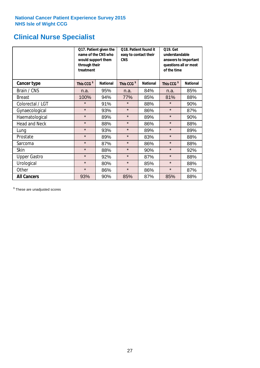## **Clinical Nurse Specialist**

|                      | would support them<br>through their<br>treatment | Q17. Patient given the<br>name of the CNS who | Q18. Patient found it<br>easy to contact their<br><b>CNS</b> |                 | <b>Q19. Get</b><br>understandable<br>answers to important<br>questions all or most<br>of the time |                 |  |
|----------------------|--------------------------------------------------|-----------------------------------------------|--------------------------------------------------------------|-----------------|---------------------------------------------------------------------------------------------------|-----------------|--|
| <b>Cancer type</b>   | This CCG <sup>\$</sup>                           | <b>National</b>                               | This CCG <sup>\$</sup>                                       | <b>National</b> | This CCG <sup>\$</sup>                                                                            | <b>National</b> |  |
| Brain / CNS          | n.a.                                             | 95%                                           | n.a.                                                         | 84%             | n.a.                                                                                              | 85%             |  |
| <b>Breast</b>        | 100%                                             | 94%                                           | 77%                                                          | 85%             | 81%                                                                                               | 88%             |  |
| Colorectal / LGT     | $\star$                                          | 91%                                           | $\star$                                                      | 88%             | $\star$                                                                                           | 90%             |  |
| Gynaecological       | $\star$                                          | 93%                                           | $\star$                                                      | 86%             | $\star$                                                                                           | 87%             |  |
| Haematological       | $\star$                                          | 89%                                           | $\star$                                                      | 89%             | $\star$                                                                                           | 90%             |  |
| <b>Head and Neck</b> | $\star$                                          | 88%                                           | $\star$                                                      | 86%             | $\star$                                                                                           | 88%             |  |
| Lung                 | $\star$                                          | 93%                                           | $\star$                                                      | 89%             | $\star$                                                                                           | 89%             |  |
| Prostate             | $\star$                                          | 89%                                           | $\star$                                                      | 83%             | $\star$                                                                                           | 88%             |  |
| Sarcoma              | $\star$                                          | 87%                                           | $\star$                                                      | 86%             | $\star$                                                                                           | 88%             |  |
| Skin                 | $\star$                                          | 88%                                           | $\star$                                                      | 90%             | $\star$                                                                                           | 92%             |  |
| <b>Upper Gastro</b>  | $\star$                                          | 92%                                           | $\star$                                                      | 87%             | $\star$                                                                                           | 88%             |  |
| Urological           | $\star$                                          | 80%                                           | $\star$                                                      | 85%             | $\star$                                                                                           | 88%             |  |
| Other                | $\star$                                          | 86%                                           | $\star$                                                      | 86%             | $\star$                                                                                           | 87%             |  |
| <b>All Cancers</b>   | 93%                                              | 90%                                           | 85%                                                          | 87%             | 85%                                                                                               | 88%             |  |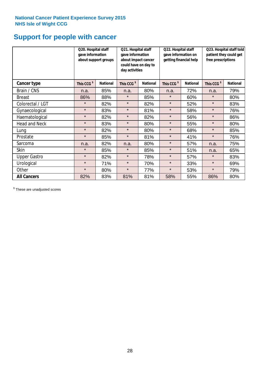## **Support for people with cancer**

|                      | Q20. Hospital staff<br>gave information | about support groups | Q21. Hospital staff<br>gave information<br>about impact cancer<br>could have on day to<br>day activities |                 | Q22. Hospital staff<br>gave information on<br>getting financial help |                 |                        | Q23. Hospital staff told<br>patient they could get<br>free prescriptions |  |
|----------------------|-----------------------------------------|----------------------|----------------------------------------------------------------------------------------------------------|-----------------|----------------------------------------------------------------------|-----------------|------------------------|--------------------------------------------------------------------------|--|
| Cancer type          | This CCG <sup>\$</sup>                  | <b>National</b>      | This CCG <sup>\$</sup>                                                                                   | <b>National</b> | This CCG <sup>\$</sup>                                               | <b>National</b> | This CCG <sup>\$</sup> | <b>National</b>                                                          |  |
| Brain / CNS          | n.a.                                    | 85%                  | n.a.                                                                                                     | 80%             | n.a.                                                                 | 72%             | n.a.                   | 79%                                                                      |  |
| <b>Breast</b>        | 86%                                     | 88%                  | $\star$                                                                                                  | 85%             | $\star$                                                              | 60%             | $\star$                | 80%                                                                      |  |
| Colorectal / LGT     | $\star$                                 | 82%                  | $\star$                                                                                                  | 82%             | $\star$                                                              | 52%             | $\star$                | 83%                                                                      |  |
| Gynaecological       | $\star$                                 | 83%                  | $\star$                                                                                                  | 81%             | $\star$                                                              | 58%             | $\star$                | 76%                                                                      |  |
| Haematological       | $\star$                                 | 82%                  | $\star$                                                                                                  | 82%             | $\star$                                                              | 56%             | $\star$                | 86%                                                                      |  |
| <b>Head and Neck</b> | $\star$                                 | 83%                  | $\star$                                                                                                  | 80%             | $\star$                                                              | 55%             | $\star$                | 80%                                                                      |  |
| Lung                 | $\star$                                 | 82%                  | $\star$                                                                                                  | 80%             | $\star$                                                              | 68%             | $\star$                | 85%                                                                      |  |
| Prostate             | $\star$                                 | 85%                  | $\star$                                                                                                  | 81%             | $\star$                                                              | 41%             | $\star$                | 76%                                                                      |  |
| Sarcoma              | n.a.                                    | 82%                  | n.a.                                                                                                     | 80%             | $\star$                                                              | 57%             | n.a.                   | 75%                                                                      |  |
| Skin                 | $\star$                                 | 85%                  | $\star$                                                                                                  | 85%             | $\star$                                                              | 51%             | n.a.                   | 65%                                                                      |  |
| <b>Upper Gastro</b>  | $\star$                                 | 82%                  | $\star$                                                                                                  | 78%             | $\star$                                                              | 57%             | $\star$                | 83%                                                                      |  |
| Urological           | $\star$                                 | 71%                  | $\star$                                                                                                  | 70%             | $\star$                                                              | 33%             | $\star$                | 69%                                                                      |  |
| Other                | $\star$                                 | 80%                  | $\star$                                                                                                  | 77%             | $\star$                                                              | 53%             | $\star$                | 79%                                                                      |  |
| <b>All Cancers</b>   | 82%                                     | 83%                  | 81%                                                                                                      | 81%             | 58%                                                                  | 55%             | 86%                    | 80%                                                                      |  |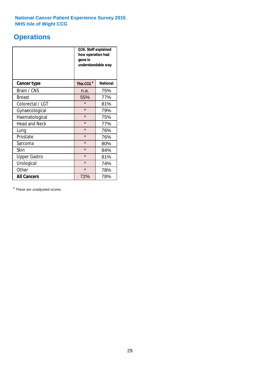## **Operations**

|                      | Q26. Staff explained<br>how operation had<br>gone in<br>understandable way |                 |  |  |  |
|----------------------|----------------------------------------------------------------------------|-----------------|--|--|--|
| <b>Cancer type</b>   | This CCG <sup>\$</sup>                                                     | <b>National</b> |  |  |  |
| Brain / CNS          | n.a.                                                                       | 75%             |  |  |  |
| <b>Breast</b>        | 55%                                                                        | 77%             |  |  |  |
| Colorectal / LGT     | $\star$                                                                    | 81%             |  |  |  |
| Gynaecological       | $\star$                                                                    | 79%             |  |  |  |
| Haematological       | $\star$                                                                    | 75%             |  |  |  |
| <b>Head and Neck</b> | $\star$                                                                    | 77%             |  |  |  |
| Lung                 | $\star$                                                                    | 76%             |  |  |  |
| Prostate             | $\star$                                                                    | 76%             |  |  |  |
| Sarcoma              | $\star$                                                                    | 80%             |  |  |  |
| Skin                 | $\star$                                                                    | 84%             |  |  |  |
| <b>Upper Gastro</b>  | $\star$                                                                    | 81%             |  |  |  |
| Urological           | $\star$                                                                    | 74%             |  |  |  |
| Other                | $\star$<br>78%                                                             |                 |  |  |  |
| <b>All Cancers</b>   | 72%<br>78%                                                                 |                 |  |  |  |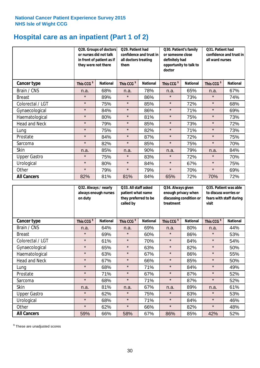### **Hospital care as an inpatient (Part 1 of 2)**

|                      | Q28. Groups of doctors<br>or nurses did not talk<br>in front of patient as if<br>they were not there |                 | Q29. Patient had<br>confidence and trust in<br>all doctors treating<br>them |                 | Q30. Patient's family<br>or someone close<br>definitely had<br>opportunity to talk to<br>doctor |                 | Q31. Patient had<br>confidence and trust in I<br>all ward nurses |                 |
|----------------------|------------------------------------------------------------------------------------------------------|-----------------|-----------------------------------------------------------------------------|-----------------|-------------------------------------------------------------------------------------------------|-----------------|------------------------------------------------------------------|-----------------|
| Cancer type          | This CCG <sup>\$</sup>                                                                               | <b>National</b> | This CCG <sup>\$</sup>                                                      | <b>National</b> | This CCG <sup>\$</sup>                                                                          | <b>National</b> | This CCG <sup>\$</sup>                                           | <b>National</b> |
| Brain / CNS          | n.a.                                                                                                 | 68%             | n.a.                                                                        | 78%             | n.a.                                                                                            | 65%             | n.a.                                                             | 67%             |
| <b>Breast</b>        | $\star$                                                                                              | 89%             | $\star$                                                                     | 86%             | $\star$                                                                                         | 73%             | $\star$                                                          | 74%             |
| Colorectal / LGT     | $\star$                                                                                              | 75%             | $\star$                                                                     | 85%             | $\star$                                                                                         | 72%             | $\star$                                                          | 68%             |
| Gynaecological       | $\star$                                                                                              | 84%             | $\star$                                                                     | 86%             | $\star$                                                                                         | 71%             | $\star$                                                          | 69%             |
| Haematological       | $\star$                                                                                              | 80%             | $\star$                                                                     | 81%             | $\star$                                                                                         | 75%             | $\star$                                                          | 73%             |
| <b>Head and Neck</b> | $\star$                                                                                              | 79%             | $\star$                                                                     | 85%             | $\star$                                                                                         | 73%             | $\star$                                                          | 72%             |
| Lung                 | $\star$                                                                                              | 75%             | $\star$                                                                     | 82%             | $\star$                                                                                         | 71%             | $\star$                                                          | 73%             |
| Prostate             | $\star$                                                                                              | 84%             | $\star$                                                                     | 87%             | $\star$                                                                                         | 72%             | $\star$                                                          | 75%             |
| Sarcoma              | $\star$                                                                                              | 82%             | $\star$                                                                     | 85%             | $\star$                                                                                         | 75%             | $\star$                                                          | 70%             |
| Skin                 | n.a.                                                                                                 | 85%             | n.a.                                                                        | 90%             | n.a.                                                                                            | 79%             | n.a.                                                             | 84%             |
| <b>Upper Gastro</b>  | $\star$                                                                                              | 75%             | $\star$                                                                     | 83%             | $\star$                                                                                         | 72%             | $\star$                                                          | 70%             |
| Urological           | $\star$                                                                                              | 80%             | $\star$                                                                     | 84%             | $\star$                                                                                         | 67%             | $\star$                                                          | 75%             |
| Other                | $\star$                                                                                              | 79%             | $\star$                                                                     | 79%             | $\star$                                                                                         | 70%             | $\star$                                                          | 69%             |
| <b>All Cancers</b>   | 82%                                                                                                  | 81%             | 81%                                                                         | 84%             | 65%                                                                                             | 72%             | 70%                                                              | 72%             |

|                      | Q32. Always / nearly<br>always enough nurses<br>on duty |                 | Q33. All staff asked<br>patient what name<br>they preferred to be<br>called by |                 | Q34. Always given<br>enough privacy when<br>discussing condition or<br>treatment |                 | Q35. Patient was able<br>to discuss worries or<br>fears with staff during<br>visit |                 |
|----------------------|---------------------------------------------------------|-----------------|--------------------------------------------------------------------------------|-----------------|----------------------------------------------------------------------------------|-----------------|------------------------------------------------------------------------------------|-----------------|
| <b>Cancer type</b>   | This CCG <sup>\$</sup>                                  | <b>National</b> | This CCG <sup>\$</sup>                                                         | <b>National</b> | This CCG <sup>\$</sup>                                                           | <b>National</b> | This CCG <sup>\$</sup>                                                             | <b>National</b> |
| Brain / CNS          | n.a.                                                    | 64%             | n.a.                                                                           | 69%             | n.a.                                                                             | 80%             | n.a.                                                                               | 44%             |
| <b>Breast</b>        | $\star$                                                 | 69%             | $\star$                                                                        | 60%             | $\star$                                                                          | 86%             | $\star$                                                                            | 53%             |
| Colorectal / LGT     | $\star$                                                 | 61%             | $\star$                                                                        | 70%             | $\star$                                                                          | 84%             | $\star$                                                                            | 54%             |
| Gynaecological       | $\star$                                                 | 65%             | $\star$                                                                        | 63%             | $\star$                                                                          | 82%             | $\star$                                                                            | 50%             |
| Haematological       | $\star$                                                 | 63%             | $\star$                                                                        | 67%             | $\star$                                                                          | 86%             | $\star$                                                                            | 55%             |
| <b>Head and Neck</b> | $\star$                                                 | 67%             | $\star$                                                                        | 66%             | $\star$                                                                          | 85%             | $\star$                                                                            | 50%             |
| Lung                 | $\star$                                                 | 68%             | $\star$                                                                        | 71%             | $\star$                                                                          | 84%             | $\star$                                                                            | 49%             |
| Prostate             | $\star$                                                 | 71%             | $\star$                                                                        | 67%             | $\star$                                                                          | 87%             | $\star$                                                                            | 52%             |
| Sarcoma              | $\star$                                                 | 68%             | $\star$                                                                        | 71%             | $\star$                                                                          | 87%             | $\star$                                                                            | 52%             |
| Skin                 | n.a.                                                    | 81%             | n.a.                                                                           | 67%             | n.a.                                                                             | 89%             | n.a.                                                                               | 61%             |
| <b>Upper Gastro</b>  | $\star$                                                 | 62%             | $\star$                                                                        | 75%             | $\star$                                                                          | 83%             | $\star$                                                                            | 53%             |
| Urological           | $\star$                                                 | 68%             | $\star$                                                                        | 71%             | $\star$                                                                          | 84%             | $\star$                                                                            | 46%             |
| Other                | $\star$                                                 | 62%             | $\star$                                                                        | 66%             | $\star$                                                                          | 82%             | $\star$                                                                            | 48%             |
| <b>All Cancers</b>   | 59%                                                     | 66%             | 58%                                                                            | 67%             | 86%                                                                              | 85%             | 42%                                                                                | 52%             |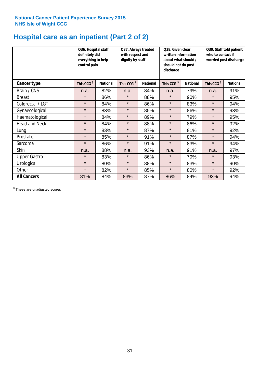### **Hospital care as an inpatient (Part 2 of 2)**

|                      | Q36. Hospital staff<br>definitely did<br>everything to help<br>control pain | Q37. Always treated<br>with respect and<br>dignity by staff |                        |                 | Q38. Given clear<br>written information<br>about what should /<br>should not do post<br>discharge |                 | Q39. Staff told patient<br>who to contact if<br>worried post discharge |                 |  |
|----------------------|-----------------------------------------------------------------------------|-------------------------------------------------------------|------------------------|-----------------|---------------------------------------------------------------------------------------------------|-----------------|------------------------------------------------------------------------|-----------------|--|
| Cancer type          | This CCG <sup>\$</sup>                                                      | <b>National</b>                                             | This CCG <sup>\$</sup> | <b>National</b> | This CCG <sup>\$</sup>                                                                            | <b>National</b> | This CCG <sup>\$</sup>                                                 | <b>National</b> |  |
| Brain / CNS          | n.a.                                                                        | 82%                                                         | n.a.                   | 84%             | n.a.                                                                                              | 79%             | n.a.                                                                   | 91%             |  |
| <b>Breast</b>        | $\star$                                                                     | 86%                                                         | $\star$                | 88%             | $\star$                                                                                           | 90%             | $\star$                                                                | 95%             |  |
| Colorectal / LGT     | $\star$                                                                     | 84%                                                         | $\star$                | 86%             | $\star$                                                                                           | 83%             | $\star$                                                                | 94%             |  |
| Gynaecological       | $\star$                                                                     | 83%                                                         | $\star$                | 85%             | $\star$                                                                                           | 86%             | $\star$                                                                | 93%             |  |
| Haematological       | $\star$                                                                     | 84%                                                         | $\star$                | 89%             | $\star$                                                                                           | 79%             | $\star$                                                                | 95%             |  |
| <b>Head and Neck</b> | $\star$                                                                     | 84%                                                         | $\star$                | 88%             | $\star$                                                                                           | 86%             | $\star$                                                                | 92%             |  |
| Lung                 | $\star$                                                                     | 83%                                                         | $\star$                | 87%             | $\star$                                                                                           | 81%             | $\star$                                                                | 92%             |  |
| Prostate             | $\star$                                                                     | 85%                                                         | $\star$                | 91%             | $\star$                                                                                           | 87%             | $\star$                                                                | 94%             |  |
| Sarcoma              | $\star$                                                                     | 86%                                                         | $\star$                | 91%             | $\star$                                                                                           | 83%             | $\star$                                                                | 94%             |  |
| Skin                 | n.a.                                                                        | 88%                                                         | n.a.                   | 93%             | n.a.                                                                                              | 91%             | n.a.                                                                   | 97%             |  |
| <b>Upper Gastro</b>  | $\star$                                                                     | 83%                                                         | $\star$                | 86%             | $\star$                                                                                           | 79%             | $\star$                                                                | 93%             |  |
| Urological           | $\star$                                                                     | 80%                                                         | $\star$                | 88%             | $\star$                                                                                           | 83%             | $\star$                                                                | 90%             |  |
| Other                | $\star$                                                                     | 82%                                                         | $\star$                | 85%             | $\star$                                                                                           | 80%             | $\star$                                                                | 92%             |  |
| <b>All Cancers</b>   | 81%                                                                         | 84%                                                         | 83%                    | 87%             | 86%                                                                                               | 84%             | 93%                                                                    | 94%             |  |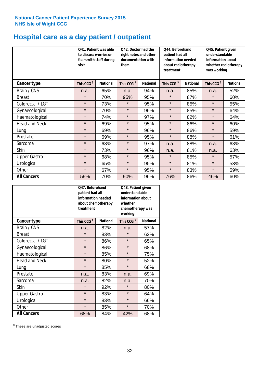## **Hospital care as a day patient / outpatient**

|                      | visit                  | Q41. Patient was able<br>Q42. Doctor had the<br>to discuss worries or<br>right notes and other<br>documentation with<br>fears with staff during<br>them |                        |                 | Q44. Beforehand<br>patient had all<br>information needed<br>about radiotherapy<br>treatment |                 | Q45. Patient given<br>understandable<br>information about<br>whether radiotherapy<br>was working |                 |
|----------------------|------------------------|---------------------------------------------------------------------------------------------------------------------------------------------------------|------------------------|-----------------|---------------------------------------------------------------------------------------------|-----------------|--------------------------------------------------------------------------------------------------|-----------------|
| <b>Cancer type</b>   | This CCG <sup>\$</sup> | <b>National</b>                                                                                                                                         | This CCG <sup>\$</sup> | <b>National</b> | This CCG <sup>\$</sup>                                                                      | <b>National</b> | This CCG <sup>\$</sup>                                                                           | <b>National</b> |
| Brain / CNS          | n.a.                   | 65%                                                                                                                                                     | n.a.                   | 94%             | n.a.                                                                                        | 85%             | n.a.                                                                                             | 52%             |
| <b>Breast</b>        | $\star$                | 70%                                                                                                                                                     | 95%                    | 95%             | $\star$                                                                                     | 87%             | $\star$                                                                                          | 60%             |
| Colorectal / LGT     | $\star$                | 73%                                                                                                                                                     | $\star$                | 95%             | $\star$                                                                                     | 85%             | $\star$                                                                                          | 55%             |
| Gynaecological       | $\star$                | 70%                                                                                                                                                     | $\star$                | 96%             | $\star$                                                                                     | 85%             | $\star$                                                                                          | 64%             |
| Haematological       | $\star$                | 74%                                                                                                                                                     | $\star$                | 97%             | $\star$                                                                                     | 82%             | $\star$                                                                                          | 64%             |
| <b>Head and Neck</b> | $\star$                | 69%                                                                                                                                                     | $\star$                | 95%             | $\star$                                                                                     | 86%             | $\star$                                                                                          | 60%             |
| Lung                 | $\star$                | 69%                                                                                                                                                     | $\star$                | 96%             | $\star$                                                                                     | 86%             | $\star$                                                                                          | 59%             |
| Prostate             | $\star$                | 69%                                                                                                                                                     | $\star$                | 95%             | $\star$                                                                                     | 88%             | $\star$                                                                                          | 61%             |
| Sarcoma              | $\star$                | 68%                                                                                                                                                     | $\star$                | 97%             | n.a.                                                                                        | 88%             | n.a.                                                                                             | 63%             |
| Skin                 | $\star$                | 73%                                                                                                                                                     | $\star$                | 96%             | n.a.                                                                                        | 81%             | n.a.                                                                                             | 63%             |
| <b>Upper Gastro</b>  | $\star$                | 68%                                                                                                                                                     | $\star$                | 95%             | $\star$                                                                                     | 85%             | $\star$                                                                                          | 57%             |
| Urological           | $\star$                | 65%                                                                                                                                                     | $\star$                | 95%             | $\star$                                                                                     | 81%             | $\star$                                                                                          | 53%             |
| Other                | $\star$                | 67%                                                                                                                                                     | $\star$                | 95%             | $\star$                                                                                     | 83%             | $\star$                                                                                          | 59%             |
| <b>All Cancers</b>   | 59%                    | 70%                                                                                                                                                     | 90%                    | 96%             | 76%                                                                                         | 86%             | 46%                                                                                              | 60%             |

|                      | Q47. Beforehand<br>patient had all<br>information needed<br>treatment | about chemotherapy | Q48. Patient given<br>understandable<br>information about<br>whether<br>chemotherapy was<br>working |                 |
|----------------------|-----------------------------------------------------------------------|--------------------|-----------------------------------------------------------------------------------------------------|-----------------|
| <b>Cancer type</b>   | This CCG <sup>\$</sup>                                                | <b>National</b>    | This CCG <sup>\$</sup>                                                                              | <b>National</b> |
| Brain / CNS          | n.a.                                                                  | 82%                | n.a.                                                                                                | 57%             |
| <b>Breast</b>        | $\star$                                                               | 83%                | $\star$                                                                                             | 62%             |
| Colorectal / LGT     | $\star$                                                               | 86%                | $\star$                                                                                             | 65%             |
| Gynaecological       | $\star$                                                               | 86%                | $\star$                                                                                             | 68%             |
| Haematological       | $\star$                                                               | 85%                | $\star$                                                                                             | 75%             |
| <b>Head and Neck</b> | $\star$                                                               | 80%                | $\star$                                                                                             | 52%             |
| Lung                 | $\star$                                                               | 85%                | $\star$                                                                                             | 68%             |
| Prostate             | n.a.                                                                  | 83%                | n.a.                                                                                                | 69%             |
| Sarcoma              | n.a.                                                                  | 82%                | n.a.                                                                                                | 70%             |
| Skin                 | $\star$                                                               | 92%                | $\star$                                                                                             | 80%             |
| <b>Upper Gastro</b>  | $\star$                                                               | 83%                | $\star$                                                                                             | 64%             |
| Urological           | $\star$                                                               | 83%                | $\star$                                                                                             | 66%             |
| Other                | $\star$                                                               | 85%                | $\star$                                                                                             | 70%             |
| <b>All Cancers</b>   | 68%                                                                   | 84%                | 42%                                                                                                 | 68%             |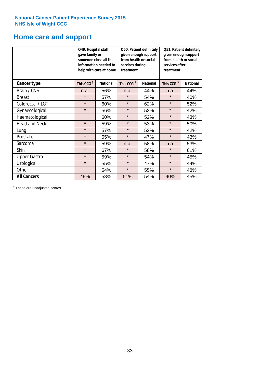### **Home care and support**

|                      | Q49. Hospital staff<br>gave family or<br>someone close all the<br>information needed to<br>help with care at home |                 | from health or social<br>services during<br>treatment | Q50. Patient definitely<br>given enough support | Q51. Patient definitely<br>given enough support<br>from health or social<br>services after<br>treatment |                 |  |
|----------------------|-------------------------------------------------------------------------------------------------------------------|-----------------|-------------------------------------------------------|-------------------------------------------------|---------------------------------------------------------------------------------------------------------|-----------------|--|
| <b>Cancer type</b>   | This CCG <sup>\$</sup>                                                                                            | <b>National</b> | This CCG <sup>\$</sup>                                | <b>National</b>                                 | This CCG <sup>\$</sup>                                                                                  | <b>National</b> |  |
| Brain / CNS          | n.a.                                                                                                              | 56%             | n.a.                                                  | 44%                                             | n.a.                                                                                                    | 44%             |  |
| <b>Breast</b>        | $\star$                                                                                                           | 57%             | $\star$                                               | 54%                                             | $\star$                                                                                                 | 40%             |  |
| Colorectal / LGT     | $\star$                                                                                                           | 60%             | $\star$                                               | 62%                                             | $\star$                                                                                                 | 52%             |  |
| Gynaecological       | $\star$                                                                                                           | 56%             | $\star$                                               | 52%                                             | $\star$                                                                                                 | 42%             |  |
| Haematological       | $\star$                                                                                                           | 60%             | $\star$                                               | 52%                                             | $\star$                                                                                                 | 43%             |  |
| <b>Head and Neck</b> | $\star$                                                                                                           | 59%             | $\star$                                               | 53%                                             | $\star$                                                                                                 | 50%             |  |
| Lung                 | $\star$                                                                                                           | 57%             | $\star$                                               | 52%                                             | $\star$                                                                                                 | 42%             |  |
| Prostate             | $\star$                                                                                                           | 55%             | $\star$                                               | 47%                                             | $\star$                                                                                                 | 43%             |  |
| Sarcoma              | $\star$                                                                                                           | 59%             | n.a.                                                  | 58%                                             | n.a.                                                                                                    | 53%             |  |
| Skin                 | $\star$                                                                                                           | 67%             | $\star$                                               | 58%                                             | $\star$                                                                                                 | 61%             |  |
| <b>Upper Gastro</b>  | $\star$                                                                                                           | 59%             | $\star$                                               | 54%                                             | $\star$                                                                                                 | 45%             |  |
| Urological           | $\star$                                                                                                           | 55%             | $\star$                                               | 47%                                             | $\star$                                                                                                 | 44%             |  |
| Other                | $\star$                                                                                                           | 54%             | $\star$<br>55%                                        |                                                 | $\star$                                                                                                 | 48%             |  |
| <b>All Cancers</b>   | 49%                                                                                                               | 58%             | 51%                                                   | 54%                                             | 40%                                                                                                     | 45%             |  |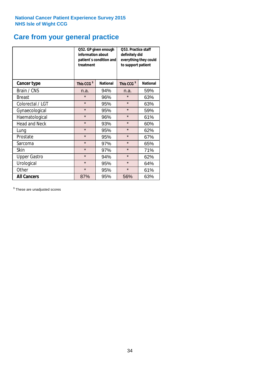## **Care from your general practice**

|                      | information about<br>treatment | Q52. GP given enough<br>patient's condition and | <b>O53. Practice staff</b><br>definitely did<br>everything they could<br>to support patient |                 |  |
|----------------------|--------------------------------|-------------------------------------------------|---------------------------------------------------------------------------------------------|-----------------|--|
| <b>Cancer type</b>   | This CCG <sup>\$</sup>         | <b>National</b>                                 | This CCG <sup>\$</sup>                                                                      | <b>National</b> |  |
| Brain / CNS          | n.a.                           | 94%                                             | n.a.                                                                                        | 59%             |  |
| <b>Breast</b>        | $\star$                        | 96%                                             | $\star$                                                                                     | 63%             |  |
| Colorectal / LGT     | $\star$                        | 95%                                             | $\star$                                                                                     | 63%             |  |
| Gynaecological       | $\star$                        | 95%                                             | $\star$                                                                                     | 59%             |  |
| Haematological       | $\star$                        | 96%                                             |                                                                                             | 61%             |  |
| <b>Head and Neck</b> | $\star$                        | 93%                                             | $\star$                                                                                     | 60%             |  |
| Lung                 | $\star$                        | 95%                                             | $\star$                                                                                     | 62%             |  |
| Prostate             | $\star$                        | 95%                                             | $\star$                                                                                     | 67%             |  |
| Sarcoma              | $\star$                        | 97%                                             | $\star$                                                                                     | 65%             |  |
| Skin                 | $\star$                        | 97%                                             | $\star$                                                                                     | 71%             |  |
| <b>Upper Gastro</b>  | $\star$                        | 94%                                             | $\star$                                                                                     | 62%             |  |
| Urological           | $\star$                        | 95%                                             | $\star$                                                                                     | 64%             |  |
| Other                | $\star$                        | 95%                                             | $\star$                                                                                     | 61%             |  |
| <b>All Cancers</b>   | 87%                            | 95%                                             | 56%                                                                                         | 63%             |  |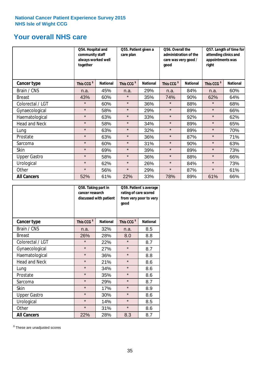### **Your overall NHS care**

|                      | Q54. Hospital and<br>community staff<br>always worked well<br>together |                 | Q55. Patient given a<br>care plan |                 | Q56. Overall the<br>administration of the<br>care was very good /<br>qood |                 | Q57. Length of time for<br>attending clinics and<br>appointments was<br>right |                 |
|----------------------|------------------------------------------------------------------------|-----------------|-----------------------------------|-----------------|---------------------------------------------------------------------------|-----------------|-------------------------------------------------------------------------------|-----------------|
| <b>Cancer type</b>   | This CCG <sup>\$</sup>                                                 | <b>National</b> | This CCG <sup>\$</sup>            | <b>National</b> | This CCG <sup>\$</sup>                                                    | <b>National</b> | This CCG <sup>\$</sup>                                                        | <b>National</b> |
| Brain / CNS          | n.a.                                                                   | 45%             | n.a.                              | 29%             | n.a.                                                                      | 84%             | n.a.                                                                          | 60%             |
| <b>Breast</b>        | 43%                                                                    | 60%             | $\star$                           | 35%             | 74%                                                                       | 90%             | 62%                                                                           | 64%             |
| Colorectal / LGT     | $\star$                                                                | 60%             | $\star$                           | 36%             | $\star$                                                                   | 88%             | $\star$                                                                       | 68%             |
| Gynaecological       | $\star$                                                                | 58%             | $\star$                           | 29%             | $\star$                                                                   | 89%             | $\star$                                                                       | 66%             |
| Haematological       | $\star$                                                                | 63%             | $\star$                           | 33%             | $\star$                                                                   | 92%             | $\star$                                                                       | 62%             |
| <b>Head and Neck</b> | $\star$                                                                | 58%             | $\star$                           | 34%             | $\star$                                                                   | 89%             | $\star$                                                                       | 65%             |
| Lung                 | $\star$                                                                | 63%             | $\star$                           | 32%             | $\star$                                                                   | 89%             | $\star$                                                                       | 70%             |
| Prostate             | $\star$                                                                | 63%             | $\star$                           | 36%             | $\star$                                                                   | 87%             | $\star$                                                                       | 71%             |
| Sarcoma              | $\star$                                                                | 60%             | $\star$                           | 31%             | $\star$                                                                   | 90%             | $\star$                                                                       | 63%             |
| Skin                 | $\star$                                                                | 69%             | $\star$                           | 39%             | $\star$                                                                   | 89%             | $\star$                                                                       | 73%             |
| <b>Upper Gastro</b>  | $\star$                                                                | 58%             | $\star$                           | 36%             | $\star$                                                                   | 88%             | $\star$                                                                       | 66%             |
| Urological           | $\star$                                                                | 62%             | $\star$                           | 26%             | $\star$                                                                   | 84%             | $\star$                                                                       | 73%             |
| Other                | $\star$                                                                | 56%             | $\star$                           | 29%             | $\star$                                                                   | 87%             | $\star$                                                                       | 61%             |
| <b>All Cancers</b>   | 52%                                                                    | 61%             | 22%                               | 33%             | 78%                                                                       | 89%             | 61%                                                                           | 66%             |

|                      | Q58. Taking part in<br>cancer research | discussed with patient | Q59. Patient's average<br>rating of care scored<br>from very poor to very<br>good |                 |  |
|----------------------|----------------------------------------|------------------------|-----------------------------------------------------------------------------------|-----------------|--|
| <b>Cancer type</b>   | This CCG <sup>\$</sup>                 | <b>National</b>        | This CCG <sup>\$</sup>                                                            | <b>National</b> |  |
| Brain / CNS          | n.a.                                   | 32%                    | n.a.                                                                              | 8.5             |  |
| <b>Breast</b>        | 26%                                    | 28%                    | 8.0                                                                               | 8.8             |  |
| Colorectal / LGT     | $\star$                                | 22%                    | $\star$                                                                           | 8.7             |  |
| Gynaecological       | $\star$                                | 27%                    | $\star$                                                                           | 8.7             |  |
| Haematological       | $\star$                                | 36%                    | $\star$                                                                           | 8.8             |  |
| <b>Head and Neck</b> | $\star$                                | 21%                    | $\star$                                                                           | 8.6             |  |
| Lung                 | $\star$                                | 34%                    | $\star$                                                                           | 8.6             |  |
| Prostate             | $\star$                                | 35%                    | $\star$                                                                           | 8.6             |  |
| Sarcoma              | $\star$                                | 29%                    | $\star$                                                                           | 8.7             |  |
| Skin                 | $\star$                                | 17%                    | $\star$                                                                           | 8.9             |  |
| <b>Upper Gastro</b>  | $\star$                                | 30%                    | $\star$                                                                           | 8.6             |  |
| Urological           | $\star$                                | 14%                    | $\star$                                                                           | 8.5             |  |
| Other                | $\star$                                | 31%                    | $\star$                                                                           | 8.6             |  |
| <b>All Cancers</b>   | 22%                                    | 28%                    | 8.3                                                                               | 8.7             |  |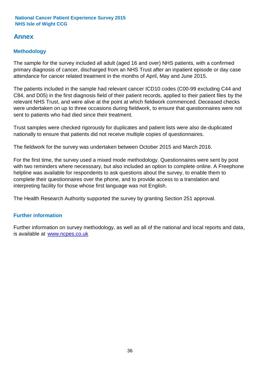### **Annex**

#### **Methodology**

The sample for the survey included all adult (aged 16 and over) NHS patients, with a confirmed primary diagnosis of cancer, discharged from an NHS Trust after an inpatient episode or day case attendance for cancer related treatment in the months of April, May and June 2015.

The patients included in the sample had relevant cancer ICD10 codes (C00-99 excluding C44 and C84, and D05) in the first diagnosis field of their patient records, applied to their patient files by the relevant NHS Trust, and were alive at the point at which fieldwork commenced. Deceased checks were undertaken on up to three occasions during fieldwork, to ensure that questionnaires were not sent to patients who had died since their treatment.

Trust samples were checked rigorously for duplicates and patient lists were also de-duplicated nationally to ensure that patients did not receive multiple copies of questionnaires.

The fieldwork for the survey was undertaken between October 2015 and March 2016.

For the first time, the survey used a mixed mode methodology. Questionnaires were sent by post with two reminders where necesssary, but also included an option to complete online. A Freephone helpline was available for respondents to ask questions about the survey, to enable them to complete their questionnaires over the phone, and to provide access to a translation and interpreting facility for those whose first language was not English.

The Health Research Authority supported the survey by granting Section 251 approval.

#### **Further information**

Further information on survey methodology, as well as all of the national and local reports and data, is available at www.ncpes.co.uk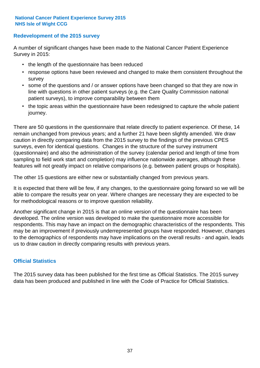#### **Redevelopment of the 2015 survey**

A number of significant changes have been made to the National Cancer Patient Experience Survey in 2015:

- the length of the questionnaire has been reduced
- response options have been reviewed and changed to make them consistent throughout the survey
- some of the questions and / or answer options have been changed so that they are now in line with questions in other patient surveys (e.g. the Care Quality Commission national patient surveys), to improve comparability between them
- the topic areas within the questionnaire have been redesigned to capture the whole patient journey.

There are 50 questions in the questionnaire that relate directly to patient experience. Of these, 14 remain unchanged from previous years; and a further 21 have been slightly amended. We draw caution in directly comparing data from the 2015 survey to the findings of the previous CPES surveys, even for identical questions. Changes in the structure of the survey instrument (questionnaire) and also the administration of the survey (calendar period and length of time from sampling to field work start and completion) may influence nationwide averages, although these features will not greatly impact on relative comparisons (e.g. between patient groups or hospitals).

The other 15 questions are either new or substantially changed from previous years.

It is expected that there will be few, if any changes, to the questionnaire going forward so we will be able to compare the results year on year. Where changes are necessary they are expected to be for methodological reasons or to improve question reliability.

Another significant change in 2015 is that an online version of the questionnaire has been developed. The online version was developed to make the questionnaire more accessible for respondents. This may have an impact on the demographic characteristics of the respondents. This may be an improvement if previously underrepresented groups have responded. However, changes to the demographics of respondents may have implications on the overall results - and again, leads us to draw caution in directly comparing results with previous years.

#### **Official Statistics**

The 2015 survey data has been published for the first time as Official Statistics. The 2015 survey data has been produced and published in line with the Code of Practice for Official Statistics.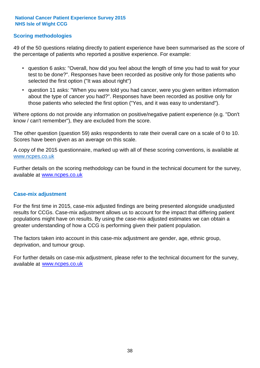#### **Scoring methodologies**

49 of the 50 questions relating directly to patient experience have been summarised as the score of the percentage of patients who reported a positive experience. For example:

- question 6 asks: "Overall, how did you feel about the length of time you had to wait for your test to be done?". Responses have been recorded as positive only for those patients who selected the first option ("It was about right")
- question 11 asks: "When you were told you had cancer, were you given written information about the type of cancer you had?". Responses have been recorded as positive only for those patients who selected the first option ("Yes, and it was easy to understand").

Where options do not provide any information on positive/negative patient experience (e.g. "Don't know / can't remember"), they are excluded from the score.

The other question (question 59) asks respondents to rate their overall care on a scale of 0 to 10. Scores have been given as an average on this scale.

A copy of the 2015 questionnaire, marked up with all of these scoring conventions, is available at www.ncpes.co.uk

Further details on the scoring methodology can be found in the technical document for the survey, available at <u>www.ncpes.co.uk</u>

#### **Case-mix adjustment**

For the first time in 2015, case-mix adjusted findings are being presented alongside unadjusted results for CCGs. Case-mix adjustment allows us to account for the impact that differing patient populations might have on results. By using the case-mix adjusted estimates we can obtain a greater understanding of how a CCG is performing given their patient population.

The factors taken into account in this case-mix adjustment are gender, age, ethnic group, deprivation, and tumour group.

For further details on case-mix adjustment, please refer to the technical document for the survey, available at www.ncpes.co.uk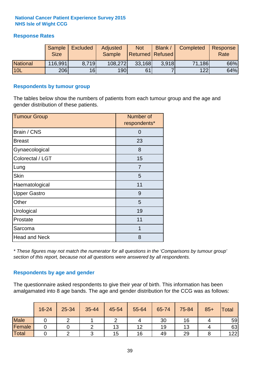#### **Response Rates**

|                 | Sample<br><b>Size</b> | <b>Excluded</b> | Adjusted<br><b>Sample</b> | <b>Not</b><br><b>Returned Refused</b> | Blank / | Completed | Response<br>Rate |
|-----------------|-----------------------|-----------------|---------------------------|---------------------------------------|---------|-----------|------------------|
| <b>National</b> | 116,991               | 8.719           | 108,272                   | 33,168                                | 3.918   | 71,186    | 66%              |
| <b>10L</b>      | 206                   | 16              | <b>190</b>                | 61                                    |         | 122       | 64%              |

#### **Respondents by tumour group**

The tables below show the numbers of patients from each tumour group and the age and gender distribution of these patients.

| <b>Tumour Group</b>  | Number of<br>respondents* |
|----------------------|---------------------------|
| Brain / CNS          | O                         |
| <b>Breast</b>        | 23                        |
| Gynaecological       | 8                         |
| Colorectal / LGT     | 15                        |
| Lung                 | 7                         |
| <b>Skin</b>          | 5                         |
| Haematological       | 11                        |
| <b>Upper Gastro</b>  | 9                         |
| Other                | 5                         |
| Urological           | 19                        |
| Prostate             | 11                        |
| Sarcoma              | 1                         |
| <b>Head and Neck</b> | 8                         |

*\* These figures may not match the numerator for all questions in the 'Comparisons by tumour group' section of this report, because not all questions were answered by all respondents.*

#### **Respondents by age and gender**

The questionnaire asked respondents to give their year of birth. This information has been amalgamated into 8 age bands. The age and gender distribution for the CCG was as follows:

|             | 16-24 | 25-34 | 35-44 | 45-54 | 55-64 | 65-74 | 75-84 | $85+$ | <b>Total</b> |
|-------------|-------|-------|-------|-------|-------|-------|-------|-------|--------------|
| <b>Male</b> |       |       |       |       |       | 30    | 16    |       | 59           |
| Female      |       |       |       | 13    | 12    | 19    | 13    |       | 63           |
| Total       |       |       |       | 15    | 16    | 49    | 29    |       | 122          |